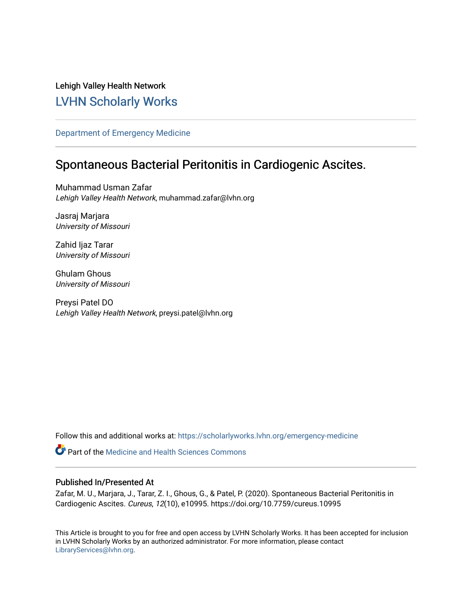Lehigh Valley Health Network [LVHN Scholarly Works](https://scholarlyworks.lvhn.org/)

[Department of Emergency Medicine](https://scholarlyworks.lvhn.org/emergency-medicine)

# Spontaneous Bacterial Peritonitis in Cardiogenic Ascites.

Muhammad Usman Zafar Lehigh Valley Health Network, muhammad.zafar@lvhn.org

Jasraj Marjara University of Missouri

Zahid Ijaz Tarar University of Missouri

Ghulam Ghous University of Missouri

Preysi Patel DO Lehigh Valley Health Network, preysi.patel@lvhn.org

Follow this and additional works at: [https://scholarlyworks.lvhn.org/emergency-medicine](https://scholarlyworks.lvhn.org/emergency-medicine?utm_source=scholarlyworks.lvhn.org%2Femergency-medicine%2F706&utm_medium=PDF&utm_campaign=PDFCoverPages) 

**C** Part of the Medicine and Health Sciences Commons

## Published In/Presented At

Zafar, M. U., Marjara, J., Tarar, Z. I., Ghous, G., & Patel, P. (2020). Spontaneous Bacterial Peritonitis in Cardiogenic Ascites. Cureus, 12(10), e10995. https://doi.org/10.7759/cureus.10995

This Article is brought to you for free and open access by LVHN Scholarly Works. It has been accepted for inclusion in LVHN Scholarly Works by an authorized administrator. For more information, please contact [LibraryServices@lvhn.org](mailto:LibraryServices@lvhn.org).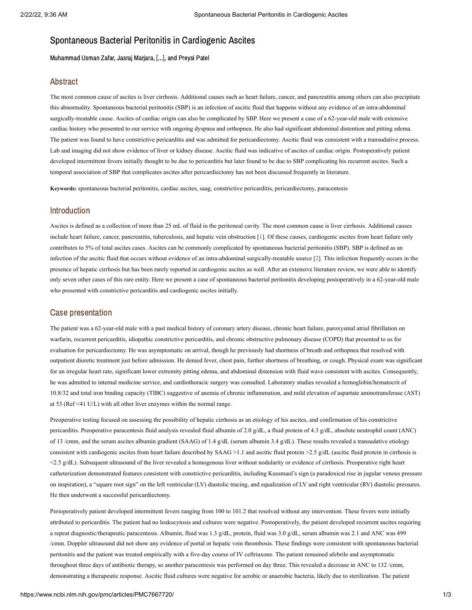# Spontaneous Bacterial Peritonitis in Cardiogenic Ascites

Muhammad Usman Zafar, Jasraj Marjara, [...], and Preysi Patel

#### Abstract

The most common cause of ascites is liver cirrhosis. Additional causes such as heart failure, cancer, and pancreatitis among others can also precipitate this abnormality. Spontaneous bacterial peritonitis (SBP) is an infection of ascitic fluid that happens without any evidence of an intra-abdominal surgically-treatable cause. Ascites of cardiac origin can also be complicated by SBP. Here we present a case of a 62-year-old male with extensive cardiac history who presented to our service with ongoing dyspnea and orthopnea. He also had significant abdominal distention and pitting edema. The patient was found to have constrictive pericarditis and was admitted for pericardiectomy. Ascitic fluid was consistent with a transudative process. Lab and imaging did not show evidence of liver or kidney disease. Ascitic fluid was indicative of ascites of cardiac origin. Postoperatively patient developed intermittent fevers initially thought to be due to pericarditis but later found to be due to SBP complicating his recurrent ascites. Such a temporal association of SBP that complicates ascites after pericardiectomy has not been discussed frequently in literature.

**Keywords:** spontaneous bacterial peritonitis, cardiac ascites, saag, constrictive pericarditis, pericardiectomy, paracentesis

#### Introduction

Ascites is defined as a collection of more than 25 mL of fluid in the peritoneal cavity. The most common cause is liver cirrhosis. Additional causes include heart failure, cancer, pancreatitis, tuberculosis, and hepatic vein obstruction [\[1](#page-3-0)]. Of these causes, cardiogenic ascites from heart failure only contributes to 5% of total ascites cases. Ascites can be commonly complicated by spontaneous bacterial peritonitis (SBP). SBP is defined as an infection of the ascitic fluid that occurs without evidence of an intra-abdominal surgically-treatable source [\[2\]](#page-3-1). This infection frequently occurs in the presence of hepatic cirrhosis but has been rarely reported in cardiogenic ascites as well. After an extensive literature review, we were able to identify only seven other cases of this rare entity. Here we present a case of spontaneous bacterial peritonitis developing postoperatively in a 62-year-old male who presented with constrictive pericarditis and cardiogenic ascites initially.

#### Case presentation

The patient was a 62-year-old male with a past medical history of coronary artery disease, chronic heart failure, paroxysmal atrial fibrillation on warfarin, recurrent pericarditis, idiopathic constrictive pericarditis, and chronic obstructive pulmonary disease (COPD) that presented to us for evaluation for pericardiectomy. He was asymptomatic on arrival, though he previously had shortness of breath and orthopnea that resolved with outpatient diuretic treatment just before admission. He denied fever, chest pain, further shortness of breathing, or cough. Physical exam was significant for an irregular heart rate, significant lower extremity pitting edema, and abdominal distension with fluid wave consistent with ascites. Consequently, he was admitted to internal medicine service, and cardiothoracic surgery was consulted. Laboratory studies revealed a hemoglobin/hematocrit of 10.8/32 and total iron binding capacity (TIBC) suggestive of anemia of chronic inflammation, and mild elevation of aspartate aminotransferase (AST) at 53 (Ref <41 U/L) with all other liver enzymes within the normal range.

Preoperative testing focused on assessing the possibility of hepatic cirrhosis as an etiology of his ascites, and confirmation of his constrictive pericarditis. Preoperative paracentesis fluid analysis revealed fluid albumin of 2.0 g/dL, a fluid protein of 4.3 g/dL, absolute neutrophil count (ANC) of 13 /cmm, and the serum ascites albumin gradient (SAAG) of 1.4 g/dL (serum albumin 3.4 g/dL). These results revealed a transudative etiology consistent with cardiogenic ascites from heart failure described by SAAG >1.1 and ascitic fluid protein >2.5 g/dL (ascitic fluid protein in cirrhosis is <2.5 g/dL). Subsequent ultrasound of the liver revealed a homogenous liver without nodularity or evidence of cirrhosis. Preoperative right heart catheterization demonstrated features consistent with constrictive pericarditis, including Kussmaul's sign (a paradoxical rise in jugular venous pressure on inspiration), a "square root sign" on the left ventricular (LV) diastolic tracing, and equalization of LV and right ventricular (RV) diastolic pressures. He then underwent a successful pericardiectomy.

Perioperatively patient developed intermittent fevers ranging from 100 to 101.2 that resolved without any intervention. These fevers were initially attributed to pericarditis. The patient had no leukocytosis and cultures were negative. Postoperatively, the patient developed recurrent ascites requiring a repeat diagnostic/therapeutic paracentesis. Albumin, fluid was 1.3 g/dL, protein, fluid was 3.0 g/dL, serum albumin was 2.1 and ANC was 499 /cmm. Doppler ultrasound did not show any evidence of portal or hepatic vein thrombosis. These findings were consistent with spontaneous bacterial peritonitis and the patient was treated empirically with a five-day course of IV ceftriaxone. The patient remained afebrile and asymptomatic throughout three days of antibiotic therapy, so another paracentesis was performed on day three. This revealed a decrease in ANC to 132 /cmm, demonstrating a therapeutic response. Ascitic fluid cultures were negative for aerobic or anaerobic bacteria, likely due to sterilization. The patient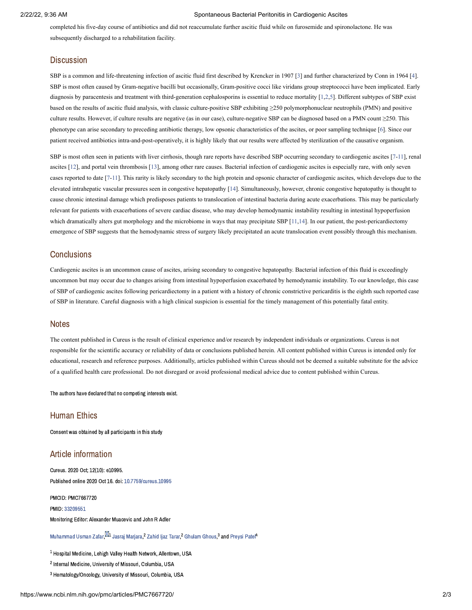#### 2/22/22, 9:36 AM Spontaneous Bacterial Peritonitis in Cardiogenic Ascites

completed his five-day course of antibiotics and did not reaccumulate further ascitic fluid while on furosemide and spironolactone. He was subsequently discharged to a rehabilitation facility.

#### **Discussion**

SBP is a common and life-threatening infection of ascitic fluid first described by Krencker in 1907 [\[3\]](#page-3-2) and further characterized by Conn in 1964 [\[4](#page-3-3)]. SBP is most often caused by Gram-negative bacilli but occasionally, Gram-positive cocci like viridans group streptococci have been implicated. Early diagnosis by paracentesis and treatment with third-generation cephalosporins is essential to reduce mortality [\[1,](#page-3-0)[2,](#page-3-1)[5\]](#page-3-4). Different subtypes of SBP exist based on the results of ascitic fluid analysis, with classic culture-positive SBP exhibiting ≥250 polymorphonuclear neutrophils (PMN) and positive culture results. However, if culture results are negative (as in our case), culture-negative SBP can be diagnosed based on a PMN count ≥250. This phenotype can arise secondary to preceding antibiotic therapy, low opsonic characteristics of the ascites, or poor sampling technique [[6\]](#page-3-5). Since our patient received antibiotics intra-and-post-operatively, it is highly likely that our results were affected by sterilization of the causative organism.

SBP is most often seen in patients with liver cirrhosis, though rare reports have described SBP occurring secondary to cardiogenic ascites [[7-](#page-3-6)[11\]](#page-3-7), renal ascites [[12\]](#page-3-8), and portal vein thrombosis [[13\]](#page-3-9), among other rare causes. Bacterial infection of cardiogenic ascites is especially rare, with only seven cases reported to date [\[7](#page-3-6)[-11](#page-3-7)]. This rarity is likely secondary to the high protein and opsonic character of cardiogenic ascites, which develops due to the elevated intrahepatic vascular pressures seen in congestive hepatopathy [\[14](#page-3-10)]. Simultaneously, however, chronic congestive hepatopathy is thought to cause chronic intestinal damage which predisposes patients to translocation of intestinal bacteria during acute exacerbations. This may be particularly relevant for patients with exacerbations of severe cardiac disease, who may develop hemodynamic instability resulting in intestinal hypoperfusion which dramatically alters gut morphology and the microbiome in ways that may precipitate SBP [\[11,](#page-3-7)[14\]](#page-3-10). In our patient, the post-pericardiectomy emergence of SBP suggests that the hemodynamic stress of surgery likely precipitated an acute translocation event possibly through this mechanism.

### **Conclusions**

Cardiogenic ascites is an uncommon cause of ascites, arising secondary to congestive hepatopathy. Bacterial infection of this fluid is exceedingly uncommon but may occur due to changes arising from intestinal hypoperfusion exacerbated by hemodynamic instability. To our knowledge, this case of SBP of cardiogenic ascites following pericardiectomy in a patient with a history of chronic constrictive pericarditis is the eighth such reported case of SBP in literature. Careful diagnosis with a high clinical suspicion is essential for the timely management of this potentially fatal entity.

#### **Notes**

The content published in Cureus is the result of clinical experience and/or research by independent individuals or organizations. Cureus is not responsible for the scientific accuracy or reliability of data or conclusions published herein. All content published within Cureus is intended only for educational, research and reference purposes. Additionally, articles published within Cureus should not be deemed a suitable substitute for the advice of a qualified health care professional. Do not disregard or avoid professional medical advice due to content published within Cureus.

The authors have declared that no competing interests exist.

#### Human Ethics

Consent was obtained by all participants in this study

#### Article information

Cureus. 2020 Oct; 12(10): e10995. Published online 2020 Oct 16. doi: [10.7759/cureus.10995](https://dx.doi.org/10.7759%2Fcureus.10995)

PMCID: PMC7667720 PMID: [33209551](https://www.ncbi.nlm.nih.gov/pubmed/33209551) Monitoring Editor: Alexander Muacevic and John R Adler

[Muhammad](https://www.ncbi.nlm.nih.gov/pubmed/?term=Zafar%20MU%5BAuthor%5D&cauthor=true&cauthor_uid=33209551) Usman Zafar.<sup>021</sup> Jasrai Mariara.<sup>2</sup> [Zahid](https://www.ncbi.nlm.nih.gov/pubmed/?term=Tarar%20ZI%5BAuthor%5D&cauthor=true&cauthor_uid=33209551) liaz Tarar.<sup>2</sup> [Ghulam](https://www.ncbi.nlm.nih.gov/pubmed/?term=Ghous%20G%5BAuthor%5D&cauthor=true&cauthor_uid=33209551) Ghous.<sup>3</sup> and Prevsi Patel<sup>4</sup>

 $^{\rm 1}$  Hospital Medicine, Lehigh Valley Health Network, Allentown, USA

 $^{\text{2}}$  Internal Medicine, University of Missouri, Columbia, USA

<sup>3</sup> Hematology/Oncology, University of Missouri, Columbia, USA